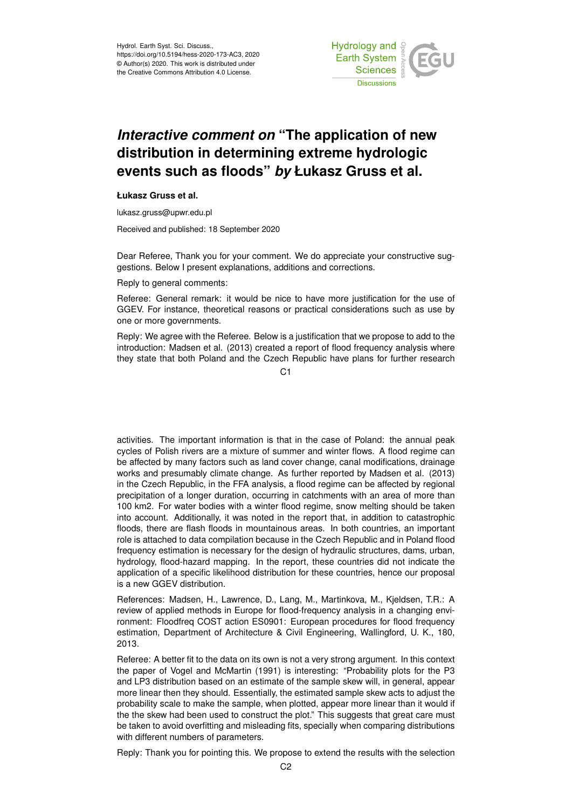

## *Interactive comment on* **"The application of new distribution in determining extreme hydrologic events such as floods"** *by* **Łukasz Gruss et al.**

## **Łukasz Gruss et al.**

lukasz.gruss@upwr.edu.pl

Received and published: 18 September 2020

Dear Referee, Thank you for your comment. We do appreciate your constructive suggestions. Below I present explanations, additions and corrections.

Reply to general comments:

Referee: General remark: it would be nice to have more justification for the use of GGEV. For instance, theoretical reasons or practical considerations such as use by one or more governments.

Reply: We agree with the Referee. Below is a justification that we propose to add to the introduction: Madsen et al. (2013) created a report of flood frequency analysis where they state that both Poland and the Czech Republic have plans for further research

 $C<sub>1</sub>$ 

activities. The important information is that in the case of Poland: the annual peak cycles of Polish rivers are a mixture of summer and winter flows. A flood regime can be affected by many factors such as land cover change, canal modifications, drainage works and presumably climate change. As further reported by Madsen et al. (2013) in the Czech Republic, in the FFA analysis, a flood regime can be affected by regional precipitation of a longer duration, occurring in catchments with an area of more than 100 km2. For water bodies with a winter flood regime, snow melting should be taken into account. Additionally, it was noted in the report that, in addition to catastrophic floods, there are flash floods in mountainous areas. In both countries, an important role is attached to data compilation because in the Czech Republic and in Poland flood frequency estimation is necessary for the design of hydraulic structures, dams, urban, hydrology, flood-hazard mapping. In the report, these countries did not indicate the application of a specific likelihood distribution for these countries, hence our proposal is a new GGEV distribution.

References: Madsen, H., Lawrence, D., Lang, M., Martinkova, M., Kjeldsen, T.R.: A review of applied methods in Europe for flood-frequency analysis in a changing environment: Floodfreq COST action ES0901: European procedures for flood frequency estimation, Department of Architecture & Civil Engineering, Wallingford, U. K., 180, 2013.

Referee: A better fit to the data on its own is not a very strong argument. In this context the paper of Vogel and McMartin (1991) is interesting: "Probability plots for the P3 and LP3 distribution based on an estimate of the sample skew will, in general, appear more linear then they should. Essentially, the estimated sample skew acts to adjust the probability scale to make the sample, when plotted, appear more linear than it would if the the skew had been used to construct the plot." This suggests that great care must be taken to avoid overfitting and misleading fits, specially when comparing distributions with different numbers of parameters.

Reply: Thank you for pointing this. We propose to extend the results with the selection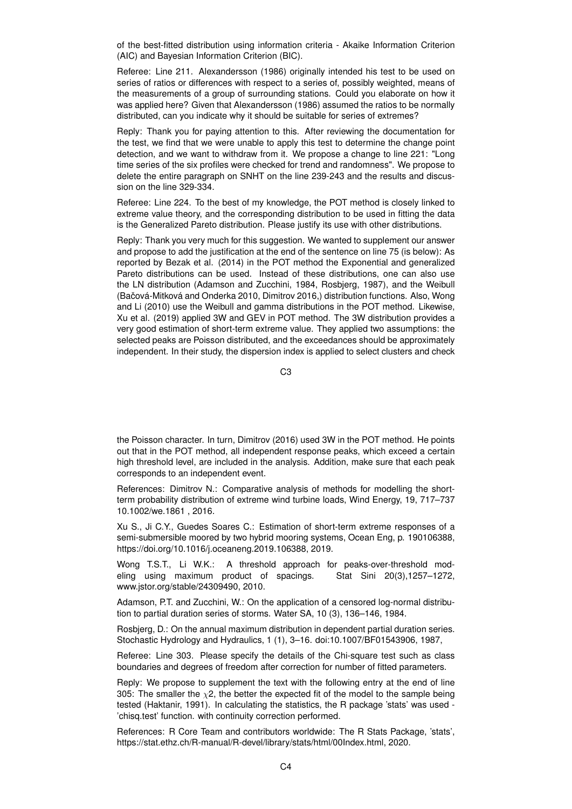of the best-fitted distribution using information criteria - Akaike Information Criterion (AIC) and Bayesian Information Criterion (BIC).

Referee: Line 211. Alexandersson (1986) originally intended his test to be used on series of ratios or differences with respect to a series of, possibly weighted, means of the measurements of a group of surrounding stations. Could you elaborate on how it was applied here? Given that Alexandersson (1986) assumed the ratios to be normally distributed, can you indicate why it should be suitable for series of extremes?

Reply: Thank you for paying attention to this. After reviewing the documentation for the test, we find that we were unable to apply this test to determine the change point detection, and we want to withdraw from it. We propose a change to line 221: "Long time series of the six profiles were checked for trend and randomness". We propose to delete the entire paragraph on SNHT on the line 239-243 and the results and discussion on the line 329-334.

Referee: Line 224. To the best of my knowledge, the POT method is closely linked to extreme value theory, and the corresponding distribution to be used in fitting the data is the Generalized Pareto distribution. Please justify its use with other distributions.

Reply: Thank you very much for this suggestion. We wanted to supplement our answer and propose to add the justification at the end of the sentence on line 75 (is below): As reported by Bezak et al. (2014) in the POT method the Exponential and generalized Pareto distributions can be used. Instead of these distributions, one can also use the LN distribution (Adamson and Zucchini, 1984, Rosbjerg, 1987), and the Weibull (Bačová-Mitková and Onderka 2010, Dimitrov 2016,) distribution functions. Also, Wong and Li (2010) use the Weibull and gamma distributions in the POT method. Likewise, Xu et al. (2019) applied 3W and GEV in POT method. The 3W distribution provides a very good estimation of short-term extreme value. They applied two assumptions: the selected peaks are Poisson distributed, and the exceedances should be approximately independent. In their study, the dispersion index is applied to select clusters and check

C3

the Poisson character. In turn, Dimitrov (2016) used 3W in the POT method. He points out that in the POT method, all independent response peaks, which exceed a certain high threshold level, are included in the analysis. Addition, make sure that each peak corresponds to an independent event.

References: Dimitrov N.: Comparative analysis of methods for modelling the shortterm probability distribution of extreme wind turbine loads, Wind Energy, 19, 717–737 10.1002/we.1861 , 2016.

Xu S., Ji C.Y., Guedes Soares C.: Estimation of short-term extreme responses of a semi-submersible moored by two hybrid mooring systems, Ocean Eng, p. 190106388, https://doi.org/10.1016/j.oceaneng.2019.106388, 2019.

Wong T.S.T., Li W.K.: A threshold approach for peaks-over-threshold modeling using maximum product of spacings. Stat Sini 20(3),1257–1272, www.jstor.org/stable/24309490, 2010.

Adamson, P.T. and Zucchini, W.: On the application of a censored log-normal distribution to partial duration series of storms. Water SA, 10 (3), 136–146, 1984.

Rosbjerg, D.: On the annual maximum distribution in dependent partial duration series. Stochastic Hydrology and Hydraulics, 1 (1), 3–16. doi:10.1007/BF01543906, 1987,

Referee: Line 303. Please specify the details of the Chi-square test such as class boundaries and degrees of freedom after correction for number of fitted parameters.

Reply: We propose to supplement the text with the following entry at the end of line 305: The smaller the  $\chi$ 2, the better the expected fit of the model to the sample being tested (Haktanir, 1991). In calculating the statistics, the R package 'stats' was used - 'chisq.test' function. with continuity correction performed.

References: R Core Team and contributors worldwide: The R Stats Package, 'stats', https://stat.ethz.ch/R-manual/R-devel/library/stats/html/00Index.html, 2020.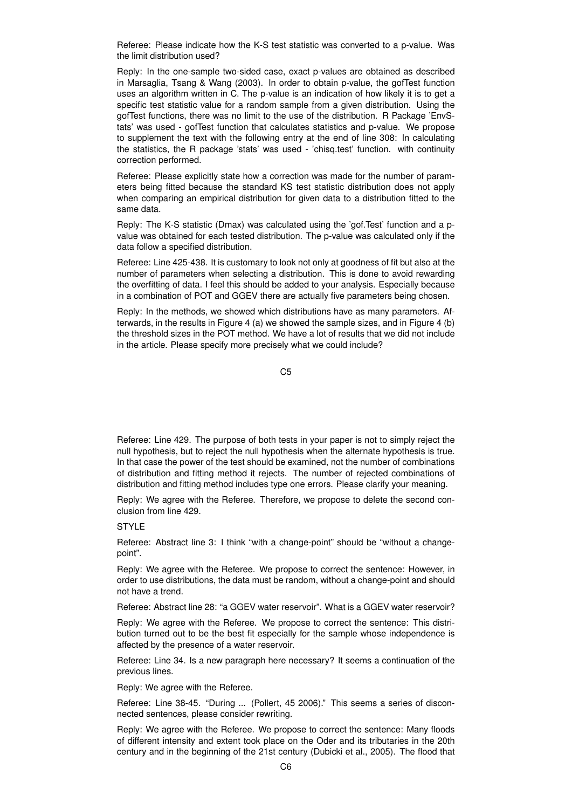Referee: Please indicate how the K-S test statistic was converted to a p-value. Was the limit distribution used?

Reply: In the one-sample two-sided case, exact p-values are obtained as described in Marsaglia, Tsang & Wang (2003). In order to obtain p-value, the gofTest function uses an algorithm written in C. The p-value is an indication of how likely it is to get a specific test statistic value for a random sample from a given distribution. Using the gofTest functions, there was no limit to the use of the distribution. R Package 'EnvStats' was used - gofTest function that calculates statistics and p-value. We propose to supplement the text with the following entry at the end of line 308: In calculating the statistics, the R package 'stats' was used - 'chisq.test' function. with continuity correction performed.

Referee: Please explicitly state how a correction was made for the number of parameters being fitted because the standard KS test statistic distribution does not apply when comparing an empirical distribution for given data to a distribution fitted to the same data.

Reply: The K-S statistic (Dmax) was calculated using the 'gof.Test' function and a pvalue was obtained for each tested distribution. The p-value was calculated only if the data follow a specified distribution.

Referee: Line 425-438. It is customary to look not only at goodness of fit but also at the number of parameters when selecting a distribution. This is done to avoid rewarding the overfitting of data. I feel this should be added to your analysis. Especially because in a combination of POT and GGEV there are actually five parameters being chosen.

Reply: In the methods, we showed which distributions have as many parameters. Afterwards, in the results in Figure 4 (a) we showed the sample sizes, and in Figure 4 (b) the threshold sizes in the POT method. We have a lot of results that we did not include in the article. Please specify more precisely what we could include?

C5

Referee: Line 429. The purpose of both tests in your paper is not to simply reject the null hypothesis, but to reject the null hypothesis when the alternate hypothesis is true. In that case the power of the test should be examined, not the number of combinations of distribution and fitting method it rejects. The number of rejected combinations of distribution and fitting method includes type one errors. Please clarify your meaning.

Reply: We agree with the Referee. Therefore, we propose to delete the second conclusion from line 429.

STYLE

Referee: Abstract line 3: I think "with a change-point" should be "without a changepoint".

Reply: We agree with the Referee. We propose to correct the sentence: However, in order to use distributions, the data must be random, without a change-point and should not have a trend.

Referee: Abstract line 28: "a GGEV water reservoir". What is a GGEV water reservoir?

Reply: We agree with the Referee. We propose to correct the sentence: This distribution turned out to be the best fit especially for the sample whose independence is affected by the presence of a water reservoir.

Referee: Line 34. Is a new paragraph here necessary? It seems a continuation of the previous lines.

Reply: We agree with the Referee.

Referee: Line 38-45. "During ... (Pollert, 45 2006)." This seems a series of disconnected sentences, please consider rewriting.

Reply: We agree with the Referee. We propose to correct the sentence: Many floods of different intensity and extent took place on the Oder and its tributaries in the 20th century and in the beginning of the 21st century (Dubicki et al., 2005). The flood that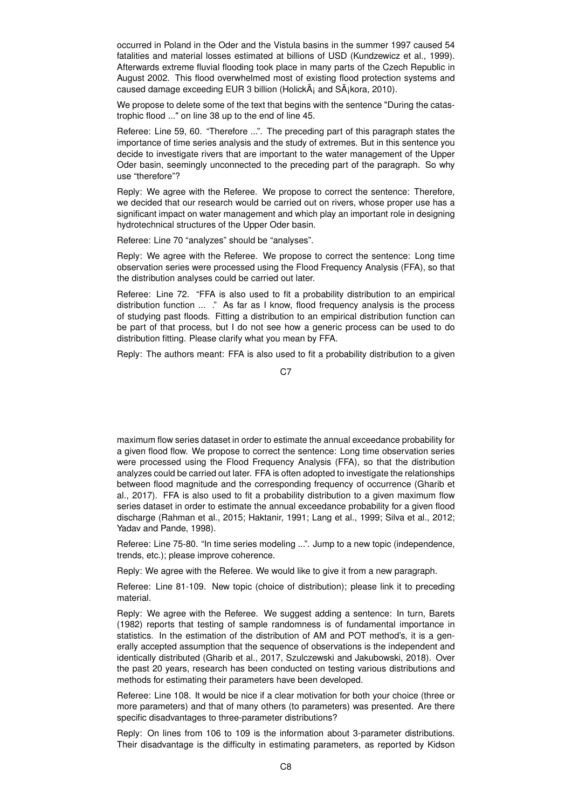occurred in Poland in the Oder and the Vistula basins in the summer 1997 caused 54 fatalities and material losses estimated at billions of USD (Kundzewicz et al., 1999). Afterwards extreme fluvial flooding took place in many parts of the Czech Republic in August 2002. This flood overwhelmed most of existing flood protection systems and caused damage exceeding EUR 3 billion (Holick $\tilde{A}$  and  $S\tilde{A}$  kora, 2010).

We propose to delete some of the text that begins with the sentence "During the catastrophic flood ..." on line 38 up to the end of line 45.

Referee: Line 59, 60. "Therefore ...". The preceding part of this paragraph states the importance of time series analysis and the study of extremes. But in this sentence you decide to investigate rivers that are important to the water management of the Upper Oder basin, seemingly unconnected to the preceding part of the paragraph. So why use "therefore"?

Reply: We agree with the Referee. We propose to correct the sentence: Therefore, we decided that our research would be carried out on rivers, whose proper use has a significant impact on water management and which play an important role in designing hydrotechnical structures of the Upper Oder basin.

Referee: Line 70 "analyzes" should be "analyses".

Reply: We agree with the Referee. We propose to correct the sentence: Long time observation series were processed using the Flood Frequency Analysis (FFA), so that the distribution analyses could be carried out later.

Referee: Line 72. "FFA is also used to fit a probability distribution to an empirical distribution function ... ." As far as I know, flood frequency analysis is the process of studying past floods. Fitting a distribution to an empirical distribution function can be part of that process, but I do not see how a generic process can be used to do distribution fitting. Please clarify what you mean by FFA.

Reply: The authors meant: FFA is also used to fit a probability distribution to a given

C<sub>7</sub>

maximum flow series dataset in order to estimate the annual exceedance probability for a given flood flow. We propose to correct the sentence: Long time observation series were processed using the Flood Frequency Analysis (FFA), so that the distribution analyzes could be carried out later. FFA is often adopted to investigate the relationships between flood magnitude and the corresponding frequency of occurrence (Gharib et al., 2017). FFA is also used to fit a probability distribution to a given maximum flow series dataset in order to estimate the annual exceedance probability for a given flood discharge (Rahman et al., 2015; Haktanir, 1991; Lang et al., 1999; Silva et al., 2012; Yadav and Pande, 1998).

Referee: Line 75-80. "In time series modeling ...". Jump to a new topic (independence, trends, etc.); please improve coherence.

Reply: We agree with the Referee. We would like to give it from a new paragraph.

Referee: Line 81-109. New topic (choice of distribution); please link it to preceding material.

Reply: We agree with the Referee. We suggest adding a sentence: In turn, Barets (1982) reports that testing of sample randomness is of fundamental importance in statistics. In the estimation of the distribution of AM and POT method's, it is a generally accepted assumption that the sequence of observations is the independent and identically distributed (Gharib et al., 2017, Szulczewski and Jakubowski, 2018). Over the past 20 years, research has been conducted on testing various distributions and methods for estimating their parameters have been developed.

Referee: Line 108. It would be nice if a clear motivation for both your choice (three or more parameters) and that of many others (to parameters) was presented. Are there specific disadvantages to three-parameter distributions?

Reply: On lines from 106 to 109 is the information about 3-parameter distributions. Their disadvantage is the difficulty in estimating parameters, as reported by Kidson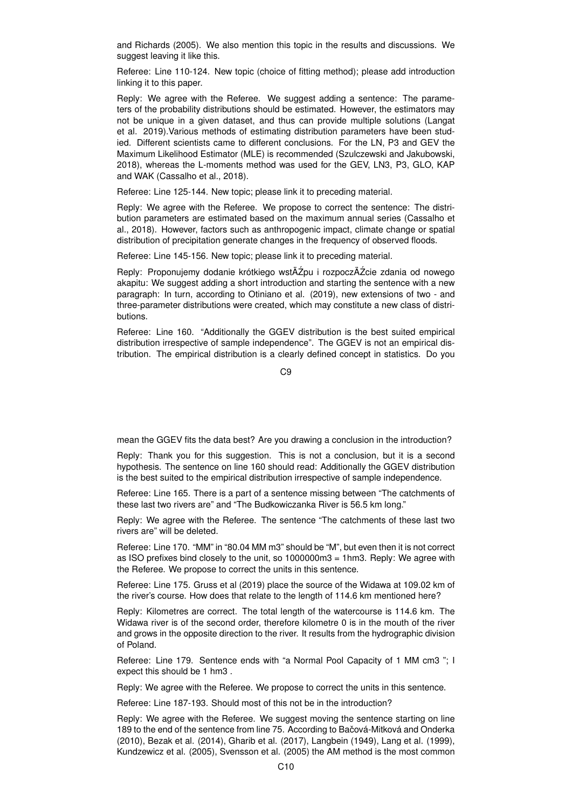and Richards (2005). We also mention this topic in the results and discussions. We suggest leaving it like this.

Referee: Line 110-124. New topic (choice of fitting method); please add introduction linking it to this paper.

Reply: We agree with the Referee. We suggest adding a sentence: The parameters of the probability distributions should be estimated. However, the estimators may not be unique in a given dataset, and thus can provide multiple solutions (Langat et al. 2019).Various methods of estimating distribution parameters have been studied. Different scientists came to different conclusions. For the LN, P3 and GEV the Maximum Likelihood Estimator (MLE) is recommended (Szulczewski and Jakubowski, 2018), whereas the L-moments method was used for the GEV, LN3, P3, GLO, KAP and WAK (Cassalho et al., 2018).

Referee: Line 125-144. New topic; please link it to preceding material.

Reply: We agree with the Referee. We propose to correct the sentence: The distribution parameters are estimated based on the maximum annual series (Cassalho et al., 2018). However, factors such as anthropogenic impact, climate change or spatial distribution of precipitation generate changes in the frequency of observed floods.

Referee: Line 145-156. New topic; please link it to preceding material.

Reply: Proponujemy dodanie krótkiego wstÄŹpu i rozpoczÄŹcie zdania od nowego akapitu: We suggest adding a short introduction and starting the sentence with a new paragraph: In turn, according to Otiniano et al. (2019), new extensions of two - and three-parameter distributions were created, which may constitute a new class of distributions.

Referee: Line 160. "Additionally the GGEV distribution is the best suited empirical distribution irrespective of sample independence". The GGEV is not an empirical distribution. The empirical distribution is a clearly defined concept in statistics. Do you

 $C9$ 

mean the GGEV fits the data best? Are you drawing a conclusion in the introduction?

Reply: Thank you for this suggestion. This is not a conclusion, but it is a second hypothesis. The sentence on line 160 should read: Additionally the GGEV distribution is the best suited to the empirical distribution irrespective of sample independence.

Referee: Line 165. There is a part of a sentence missing between "The catchments of these last two rivers are" and "The Budkowiczanka River is 56.5 km long."

Reply: We agree with the Referee. The sentence "The catchments of these last two rivers are" will be deleted.

Referee: Line 170. "MM" in "80.04 MM m3" should be "M", but even then it is not correct as ISO prefixes bind closely to the unit, so 1000000m3 = 1hm3. Reply: We agree with the Referee. We propose to correct the units in this sentence.

Referee: Line 175. Gruss et al (2019) place the source of the Widawa at 109.02 km of the river's course. How does that relate to the length of 114.6 km mentioned here?

Reply: Kilometres are correct. The total length of the watercourse is 114.6 km. The Widawa river is of the second order, therefore kilometre 0 is in the mouth of the river and grows in the opposite direction to the river. It results from the hydrographic division of Poland.

Referee: Line 179. Sentence ends with "a Normal Pool Capacity of 1 MM cm3 "; I expect this should be 1 hm3 .

Reply: We agree with the Referee. We propose to correct the units in this sentence.

Referee: Line 187-193. Should most of this not be in the introduction?

Reply: We agree with the Referee. We suggest moving the sentence starting on line 189 to the end of the sentence from line 75. According to Bačová-Mitková and Onderka (2010), Bezak et al. (2014), Gharib et al. (2017), Langbein (1949), Lang et al. (1999), Kundzewicz et al. (2005), Svensson et al. (2005) the AM method is the most common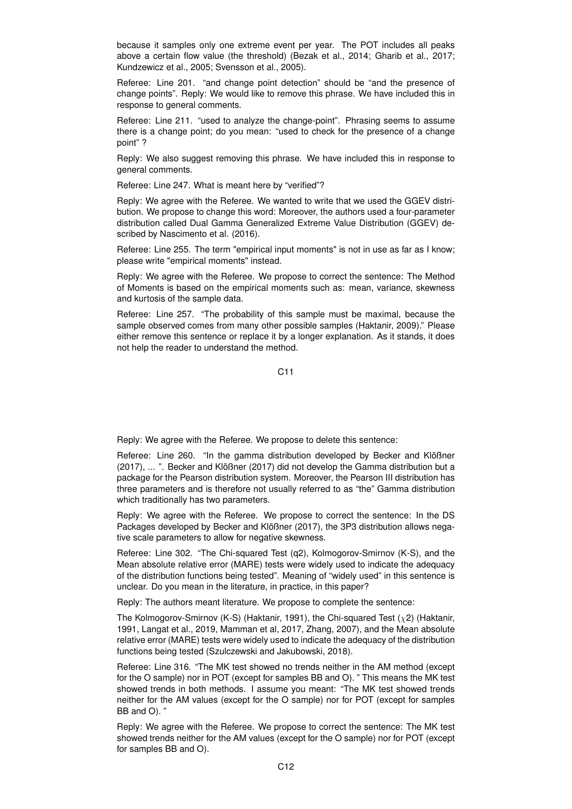because it samples only one extreme event per year. The POT includes all peaks above a certain flow value (the threshold) (Bezak et al., 2014; Gharib et al., 2017; Kundzewicz et al., 2005; Svensson et al., 2005).

Referee: Line 201. "and change point detection" should be "and the presence of change points". Reply: We would like to remove this phrase. We have included this in response to general comments.

Referee: Line 211. "used to analyze the change-point". Phrasing seems to assume there is a change point; do you mean: "used to check for the presence of a change point" ?

Reply: We also suggest removing this phrase. We have included this in response to general comments.

Referee: Line 247. What is meant here by "verified"?

Reply: We agree with the Referee. We wanted to write that we used the GGEV distribution. We propose to change this word: Moreover, the authors used a four-parameter distribution called Dual Gamma Generalized Extreme Value Distribution (GGEV) described by Nascimento et al. (2016).

Referee: Line 255. The term "empirical input moments" is not in use as far as I know; please write "empirical moments" instead.

Reply: We agree with the Referee. We propose to correct the sentence: The Method of Moments is based on the empirical moments such as: mean, variance, skewness and kurtosis of the sample data.

Referee: Line 257. "The probability of this sample must be maximal, because the sample observed comes from many other possible samples (Haktanir, 2009)." Please either remove this sentence or replace it by a longer explanation. As it stands, it does not help the reader to understand the method.

C11

Reply: We agree with the Referee. We propose to delete this sentence:

Referee: Line 260. "In the gamma distribution developed by Becker and Klößner (2017), ... ". Becker and Klößner (2017) did not develop the Gamma distribution but a package for the Pearson distribution system. Moreover, the Pearson III distribution has three parameters and is therefore not usually referred to as "the" Gamma distribution which traditionally has two parameters.

Reply: We agree with the Referee. We propose to correct the sentence: In the DS Packages developed by Becker and Klößner (2017), the 3P3 distribution allows negative scale parameters to allow for negative skewness.

Referee: Line 302. "The Chi-squared Test (q2), Kolmogorov-Smirnov (K-S), and the Mean absolute relative error (MARE) tests were widely used to indicate the adequacy of the distribution functions being tested". Meaning of "widely used" in this sentence is unclear. Do you mean in the literature, in practice, in this paper?

Reply: The authors meant literature. We propose to complete the sentence:

The Kolmogorov-Smirnov (K-S) (Haktanir, 1991), the Chi-squared Test  $(x2)$  (Haktanir, 1991, Langat et al., 2019, Mamman et al, 2017, Zhang, 2007), and the Mean absolute relative error (MARE) tests were widely used to indicate the adequacy of the distribution functions being tested (Szulczewski and Jakubowski, 2018).

Referee: Line 316. "The MK test showed no trends neither in the AM method (except for the O sample) nor in POT (except for samples BB and O). " This means the MK test showed trends in both methods. I assume you meant: "The MK test showed trends neither for the AM values (except for the O sample) nor for POT (except for samples BB and O). "

Reply: We agree with the Referee. We propose to correct the sentence: The MK test showed trends neither for the AM values (except for the O sample) nor for POT (except for samples BB and O).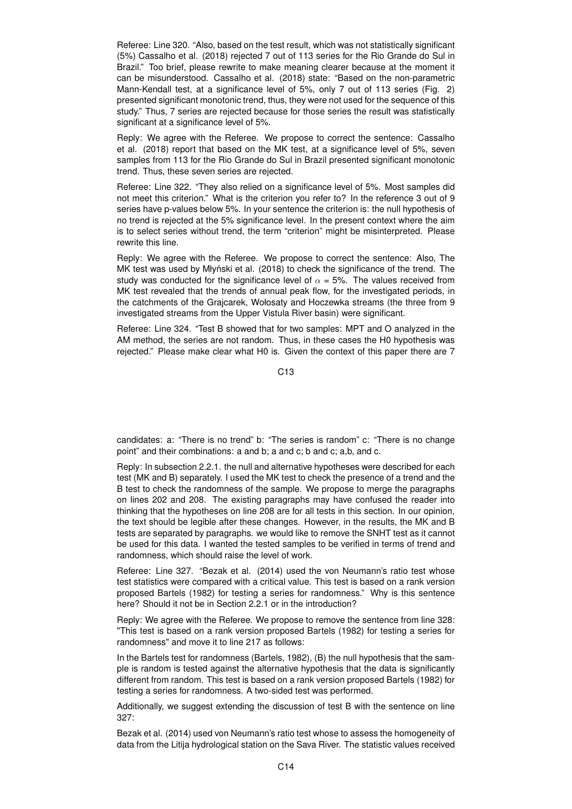Referee: Line 320. "Also, based on the test result, which was not statistically significant (5%) Cassalho et al. (2018) rejected 7 out of 113 series for the Rio Grande do Sul in Brazil." Too brief, please rewrite to make meaning clearer because at the moment it can be misunderstood. Cassalho et al. (2018) state: "Based on the non-parametric Mann-Kendall test, at a significance level of 5%, only 7 out of 113 series (Fig. 2) presented significant monotonic trend, thus, they were not used for the sequence of this study." Thus, 7 series are rejected because for those series the result was statistically significant at a significance level of 5%.

Reply: We agree with the Referee. We propose to correct the sentence: Cassalho et al. (2018) report that based on the MK test, at a significance level of 5%, seven samples from 113 for the Rio Grande do Sul in Brazil presented significant monotonic trend. Thus, these seven series are rejected.

Referee: Line 322. "They also relied on a significance level of 5%. Most samples did not meet this criterion." What is the criterion you refer to? In the reference 3 out of 9 series have p-values below 5%. In your sentence the criterion is: the null hypothesis of no trend is rejected at the 5% significance level. In the present context where the aim is to select series without trend, the term "criterion" might be misinterpreted. Please rewrite this line.

Reply: We agree with the Referee. We propose to correct the sentence: Also, The MK test was used by Młyński et al. (2018) to check the significance of the trend. The study was conducted for the significance level of  $\alpha = 5%$ . The values received from MK test revealed that the trends of annual peak flow, for the investigated periods, in the catchments of the Grajcarek, Wołosaty and Hoczewka streams (the three from 9 investigated streams from the Upper Vistula River basin) were significant.

Referee: Line 324. "Test B showed that for two samples: MPT and O analyzed in the AM method, the series are not random. Thus, in these cases the H0 hypothesis was rejected." Please make clear what H0 is. Given the context of this paper there are 7

 $C<sub>13</sub>$ 

candidates: a: "There is no trend" b: "The series is random" c: "There is no change point" and their combinations: a and b; a and c; b and c; a,b, and c.

Reply: In subsection 2.2.1. the null and alternative hypotheses were described for each test (MK and B) separately. I used the MK test to check the presence of a trend and the B test to check the randomness of the sample. We propose to merge the paragraphs on lines 202 and 208. The existing paragraphs may have confused the reader into thinking that the hypotheses on line 208 are for all tests in this section. In our opinion, the text should be legible after these changes. However, in the results, the MK and B tests are separated by paragraphs. we would like to remove the SNHT test as it cannot be used for this data. I wanted the tested samples to be verified in terms of trend and randomness, which should raise the level of work.

Referee: Line 327. "Bezak et al. (2014) used the von Neumann's ratio test whose test statistics were compared with a critical value. This test is based on a rank version proposed Bartels (1982) for testing a series for randomness." Why is this sentence here? Should it not be in Section 2.2.1 or in the introduction?

Reply: We agree with the Referee. We propose to remove the sentence from line 328: "This test is based on a rank version proposed Bartels (1982) for testing a series for randomness" and move it to line 217 as follows:

In the Bartels test for randomness (Bartels, 1982), (B) the null hypothesis that the sample is random is tested against the alternative hypothesis that the data is significantly different from random. This test is based on a rank version proposed Bartels (1982) for testing a series for randomness. A two-sided test was performed.

Additionally, we suggest extending the discussion of test B with the sentence on line 327:

Bezak et al. (2014) used von Neumann's ratio test whose to assess the homogeneity of data from the Litija hydrological station on the Sava River. The statistic values received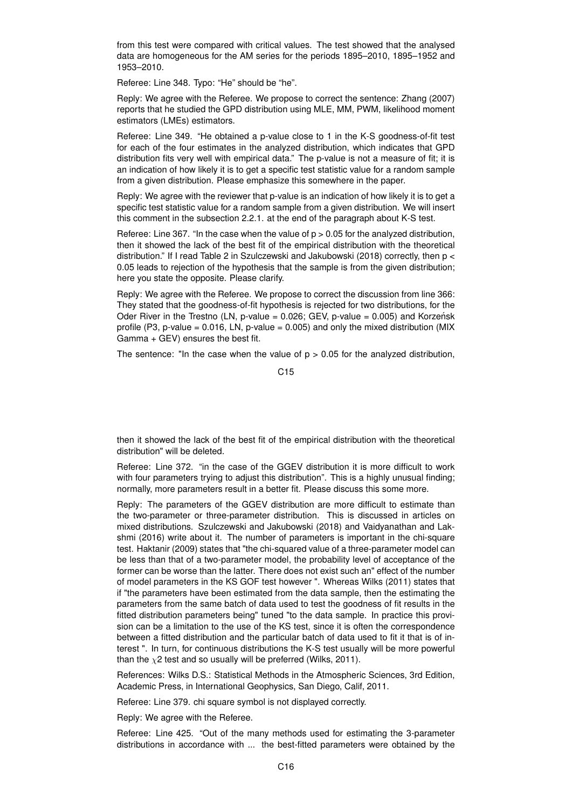from this test were compared with critical values. The test showed that the analysed data are homogeneous for the AM series for the periods 1895–2010, 1895–1952 and 1953–2010.

Referee: Line 348. Typo: "He" should be "he".

Reply: We agree with the Referee. We propose to correct the sentence: Zhang (2007) reports that he studied the GPD distribution using MLE, MM, PWM, likelihood moment estimators (LMEs) estimators.

Referee: Line 349. "He obtained a p-value close to 1 in the K-S goodness-of-fit test for each of the four estimates in the analyzed distribution, which indicates that GPD distribution fits very well with empirical data." The p-value is not a measure of fit; it is an indication of how likely it is to get a specific test statistic value for a random sample from a given distribution. Please emphasize this somewhere in the paper.

Reply: We agree with the reviewer that p-value is an indication of how likely it is to get a specific test statistic value for a random sample from a given distribution. We will insert this comment in the subsection 2.2.1. at the end of the paragraph about K-S test.

Referee: Line 367. "In the case when the value of  $p > 0.05$  for the analyzed distribution, then it showed the lack of the best fit of the empirical distribution with the theoretical distribution." If I read Table 2 in Szulczewski and Jakubowski (2018) correctly, then p < 0.05 leads to rejection of the hypothesis that the sample is from the given distribution; here you state the opposite. Please clarify.

Reply: We agree with the Referee. We propose to correct the discussion from line 366: They stated that the goodness-of-fit hypothesis is rejected for two distributions, for the Oder River in the Trestno (LN, p-value =  $0.026$ ; GEV, p-value =  $0.005$ ) and Korzeńsk profile (P3, p-value =  $0.016$ , LN, p-value =  $0.005$ ) and only the mixed distribution (MIX Gamma + GEV) ensures the best fit.

The sentence: "In the case when the value of  $p > 0.05$  for the analyzed distribution,

C15

then it showed the lack of the best fit of the empirical distribution with the theoretical distribution" will be deleted.

Referee: Line 372. "in the case of the GGEV distribution it is more difficult to work with four parameters trying to adjust this distribution". This is a highly unusual finding; normally, more parameters result in a better fit. Please discuss this some more.

Reply: The parameters of the GGEV distribution are more difficult to estimate than the two-parameter or three-parameter distribution. This is discussed in articles on mixed distributions. Szulczewski and Jakubowski (2018) and Vaidyanathan and Lakshmi (2016) write about it. The number of parameters is important in the chi-square test. Haktanir (2009) states that "the chi-squared value of a three-parameter model can be less than that of a two-parameter model, the probability level of acceptance of the former can be worse than the latter. There does not exist such an" effect of the number of model parameters in the KS GOF test however ". Whereas Wilks (2011) states that if "the parameters have been estimated from the data sample, then the estimating the parameters from the same batch of data used to test the goodness of fit results in the fitted distribution parameters being" tuned "to the data sample. In practice this provision can be a limitation to the use of the KS test, since it is often the correspondence between a fitted distribution and the particular batch of data used to fit it that is of interest ". In turn, for continuous distributions the K-S test usually will be more powerful than the  $\chi$ 2 test and so usually will be preferred (Wilks, 2011).

References: Wilks D.S.: Statistical Methods in the Atmospheric Sciences, 3rd Edition, Academic Press, in International Geophysics, San Diego, Calif, 2011.

Referee: Line 379. chi square symbol is not displayed correctly.

Reply: We agree with the Referee.

Referee: Line 425. "Out of the many methods used for estimating the 3-parameter distributions in accordance with ... the best-fitted parameters were obtained by the